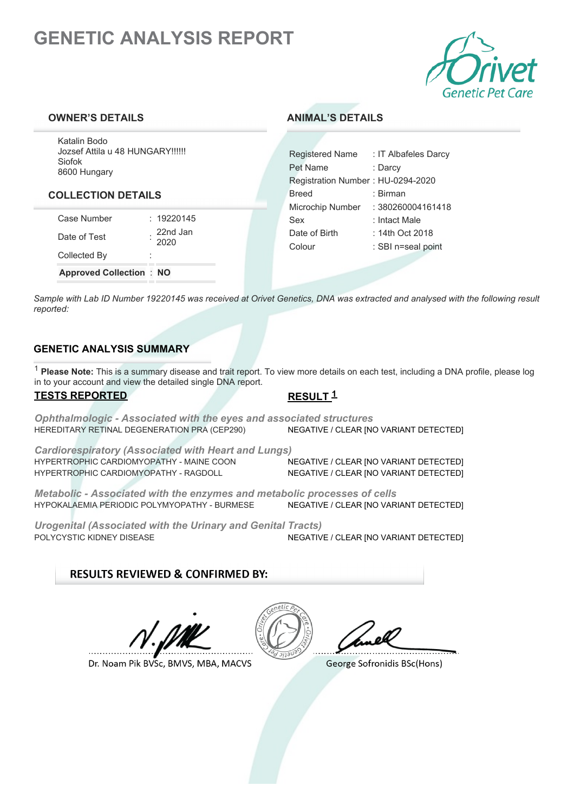# **GENETIC ANALYSIS REPORT**



## **OWNER'S DETAILS**

Katalin Bodo Jozsef Attila u 48 HUNGARY!!!!!! Siofok 8600 Hungary

## **COLLECTION DETAILS**

| Case Number                     | : 19220145       |
|---------------------------------|------------------|
| Date of Test                    | 22nd Jan<br>2020 |
| Collected By                    |                  |
| <b>Approved Collection : NO</b> |                  |

# **ANIMAL'S DETAILS**

| <b>Registered Name</b>            | : IT Albafeles Darcy |
|-----------------------------------|----------------------|
| Pet Name                          | : Darcy              |
| Registration Number: HU-0294-2020 |                      |
| <b>Breed</b>                      | : Birman             |
| Microchip Number                  | : 380260004161418    |
| Sex                               | : Intact Male        |
| Date of Birth                     | : 14th Oct 2018      |
| Colour                            | : SBI n=seal point   |
|                                   |                      |

Sample with Lab ID Number 19220145 was received at Orivet Genetics, DNA was extracted and analysed with the following result *reported:*

# **GENETIC ANALYSIS SUMMARY**

<sup>1</sup> **Please Note:** This is a summary disease and trait report. To view more details on each test, including a DNA profile, please log in to your account and view the detailed single DNA report.

# **TESTS REPORTED**

# **RESULT**<sup>1</sup>

*Ophthalmologic - Associated with the eyes and associated structures* HEREDITARY RETINAL DEGENERATION PRA (CEP290) NEGATIVE / CLEAR [NO VARIANT DETECTED]

*Cardiorespiratory (Associated with Heart and Lungs)* HYPERTROPHIC CARDIOMYOPATHY - MAINE COON NEGATIVE / CLEAR [NO VARIANT DETECTED]<br>HYPERTROPHIC CARDIOMYOPATHY - RAGDOLL NEGATIVE / CLEAR INO VARIANT DETECTEDI

NEGATIVE / CLEAR [NO VARIANT DETECTED]

*Metabolic - Associated with the enzymes and metabolic processes of cells* HYPOKALAEMIA PERIODIC POLYMYOPATHY - BURMESE NEGATIVE / CLEAR [NO VARIANT DETECTED]

*Urogenital (Associated with the Urinary and Genital Tracts)* NEGATIVE / CLEAR [NO VARIANT DETECTED]

# **RESULTS REVIEWED & CONFIRMED BY:**

George Sofronidis BSc(Hons)

Dr. Noam Pik BVSc, BMVS, MBA, MACVS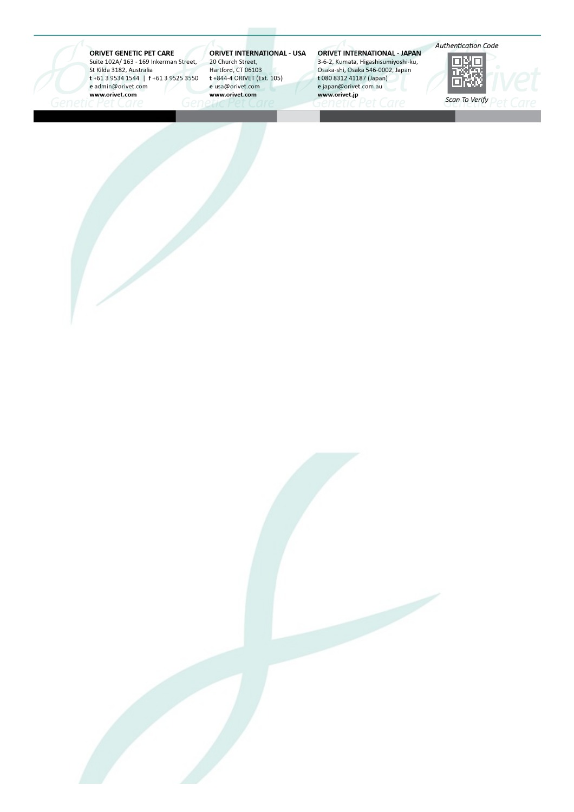ORIVET GENETIC PET CARE

Suite 102A/ 163 - 169 Inkerman Street, St Kilda 3182, Australia t +61 3 9534 1544 | f +61 3 9525 3550 e admin@orivet.com www.orivet.com

**ORIVET INTERNATIONAL - USA** 20 Church Street,<br>Hartford, CT 06103 t +844-4 ORIVET (Ext. 105) e usa@orivet.com www.orivet.com

ORIVET INTERNATIONAL - JAPAN 3-6-2, Kumata, Higashisumiyoshi-ku,<br>Osaka-shi, Osaka 546-0002, Japan t 080 8312 41187 (Japan) e japan@orivet.com.au www.orivet.jp



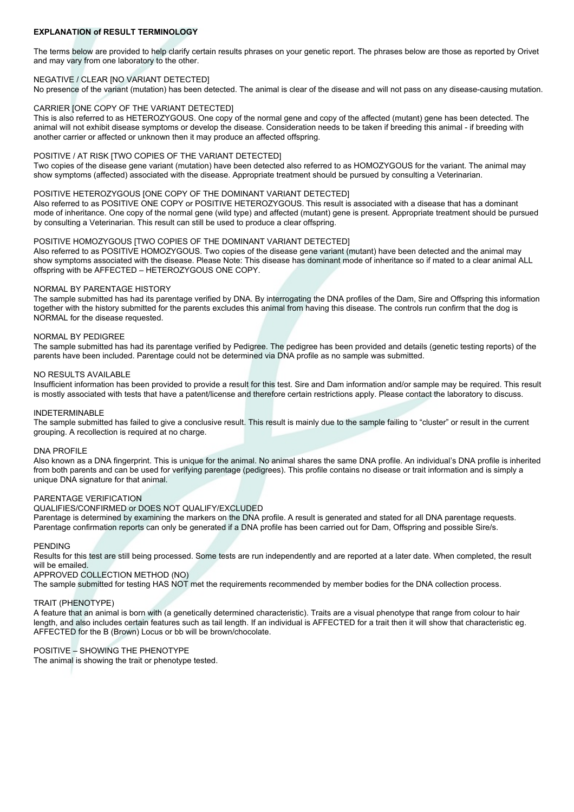## **EXPLANATION of RESULT TERMINOLOGY**

The terms below are provided to help clarify certain results phrases on your genetic report. The phrases below are those as reported by Orivet and may vary from one laboratory to the other.

## NEGATIVE / CLEAR [NO VARIANT DETECTED]

No presence of the variant (mutation) has been detected. The animal is clear of the disease and will not pass on any disease-causing mutation.

#### CARRIER [ONE COPY OF THE VARIANT DETECTED]

This is also referred to as HETEROZYGOUS. One copy of the normal gene and copy of the affected (mutant) gene has been detected. The animal will not exhibit disease symptoms or develop the disease. Consideration needs to be taken if breeding this animal - if breeding with another carrier or affected or unknown then it may produce an affected offspring.

#### POSITIVE / AT RISK [TWO COPIES OF THE VARIANT DETECTED]

Two copies of the disease gene variant (mutation) have been detected also referred to as HOMOZYGOUS for the variant. The animal may show symptoms (affected) associated with the disease. Appropriate treatment should be pursued by consulting a Veterinarian.

#### POSITIVE HETEROZYGOUS [ONE COPY OF THE DOMINANT VARIANT DETECTED]

Also referred to as POSITIVE ONE COPY or POSITIVE HETEROZYGOUS. This result is associated with a disease that has a dominant mode of inheritance. One copy of the normal gene (wild type) and affected (mutant) gene is present. Appropriate treatment should be pursued by consulting a Veterinarian. This result can still be used to produce a clear offspring.

#### POSITIVE HOMOZYGOUS ITWO COPIES OF THE DOMINANT VARIANT DETECTEDI

Also referred to as POSITIVE HOMOZYGOUS. Two copies of the disease gene variant (mutant) have been detected and the animal may show symptoms associated with the disease. Please Note: This disease has dominant mode of inheritance so if mated to a clear animal ALL offspring with be AFFECTED – HETEROZYGOUS ONE COPY.

#### NORMAL BY PARENTAGE HISTORY

The sample submitted has had its parentage verified by DNA. By interrogating the DNA profiles of the Dam, Sire and Offspring this information together with the history submitted for the parents excludes this animal from having this disease. The controls run confirm that the dog is NORMAL for the disease requested.

#### NORMAL BY PEDIGREE

The sample submitted has had its parentage verified by Pedigree. The pedigree has been provided and details (genetic testing reports) of the parents have been included. Parentage could not be determined via DNA profile as no sample was submitted.

#### NO RESULTS AVAILABLE

Insufficient information has been provided to provide a result for this test. Sire and Dam information and/or sample may be required. This result is mostly associated with tests that have a patent/license and therefore certain restrictions apply. Please contact the laboratory to discuss.

#### INDETERMINABLE

The sample submitted has failed to give a conclusive result. This result is mainly due to the sample failing to "cluster" or result in the current grouping. A recollection is required at no charge.

#### DNA PROFILE

Also known as a DNA fingerprint. This is unique for the animal. No animal shares the same DNA profile. An individual's DNA profile is inherited from both parents and can be used for verifying parentage (pedigrees). This profile contains no disease or trait information and is simply a unique DNA signature for that animal.

### PARENTAGE VERIFICATION

#### QUALIFIES/CONFIRMED or DOES NOT QUALIFY/EXCLUDED Parentage is determined by examining the markers on the DNA profile. A result is generated and stated for all DNA parentage requests. Parentage confirmation reports can only be generated if a DNA profile has been carried out for Dam, Offspring and possible Sire/s.

#### PENDING

Results for this test are still being processed. Some tests are run independently and are reported at a later date. When completed, the result will be emailed.

APPROVED COLLECTION METHOD (NO)

The sample submitted for testing HAS NOT met the requirements recommended by member bodies for the DNA collection process.

#### TRAIT (PHENOTYPE)

A feature that an animal is born with (a genetically determined characteristic). Traits are a visual phenotype that range from colour to hair length, and also includes certain features such as tail length. If an individual is AFFECTED for a trait then it will show that characteristic eg. AFFECTED for the B (Brown) Locus or bb will be brown/chocolate.

## POSITIVE – SHOWING THE PHENOTYPE

The animal is showing the trait or phenotype tested.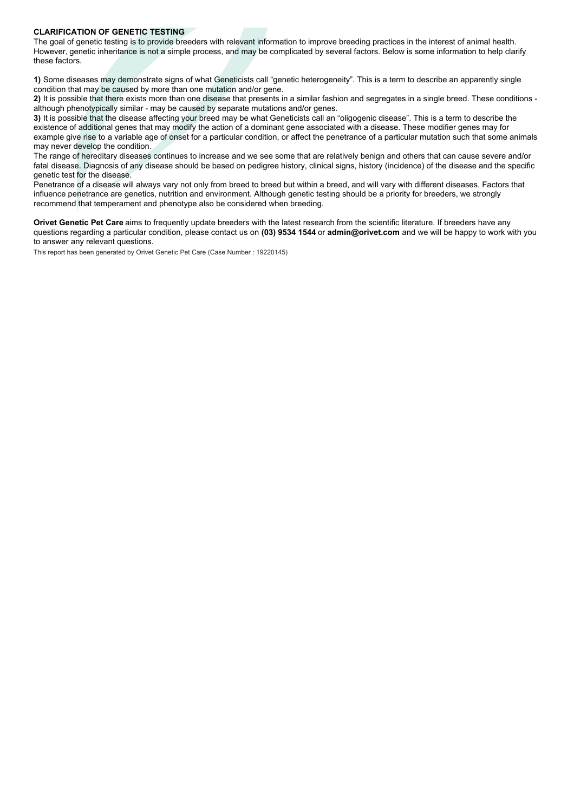### **CLARIFICATION OF GENETIC TESTING**

The goal of genetic testing is to provide breeders with relevant information to improve breeding practices in the interest of animal health. However, genetic inheritance is not a simple process, and may be complicated by several factors. Below is some information to help clarify these factors.

**1)** Some diseases may demonstrate signs of what Geneticists call "genetic heterogeneity". This is a term to describe an apparently single condition that may be caused by more than one mutation and/or gene.

**2)** It is possible that there exists more than one disease that presents in a similar fashion and segregates in a single breed. These conditions although phenotypically similar - may be caused by separate mutations and/or genes.

**3)** It is possible that the disease affecting your breed may be what Geneticists call an "oligogenic disease". This is a term to describe the existence of additional genes that may modify the action of a dominant gene associated with a disease. These modifier genes may for example give rise to a variable age of onset for a particular condition, or affect the penetrance of a particular mutation such that some animals may never develop the condition.

The range of hereditary diseases continues to increase and we see some that are relatively benign and others that can cause severe and/or fatal disease. Diagnosis of any disease should be based on pedigree history, clinical signs, history (incidence) of the disease and the specific genetic test for the disease.

Penetrance of a disease will always vary not only from breed to breed but within a breed, and will vary with different diseases. Factors that influence penetrance are genetics, nutrition and environment. Although genetic testing should be a priority for breeders, we strongly recommend that temperament and phenotype also be considered when breeding.

**Orivet Genetic Pet Care** aims to frequently update breeders with the latest research from the scientific literature. If breeders have any questions regarding a particular condition, please contact us on **(03) 9534 1544** or **admin@orivet.com** and we will be happy to work with you to answer any relevant questions.

This report has been generated by Orivet Genetic Pet Care (Case Number : 19220145)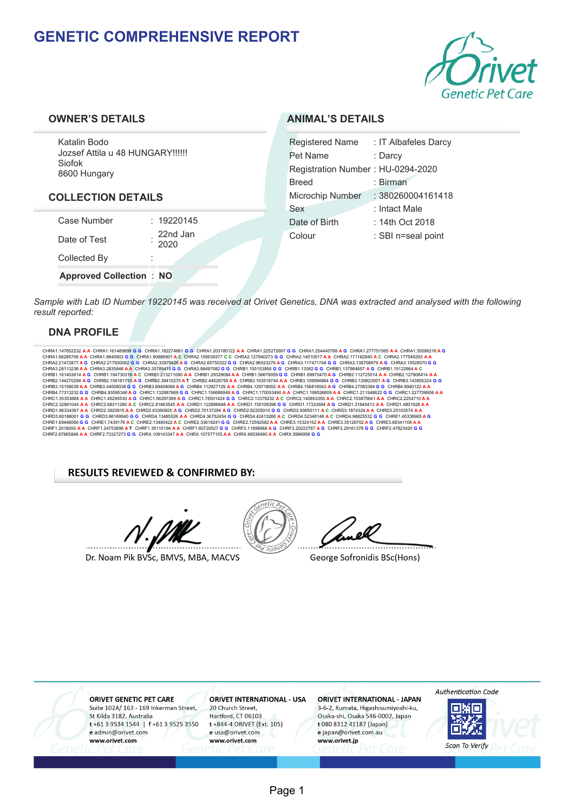# **GENETIC COMPREHENSIVE REPORT**



## **OWNER'S DETAILS**

Katalin Bodo Jozsef Attila u 48 HUNGARY!!!!!! Siofok 8600 Hungary

## **COLLECTION DETAILS**

| Case Number                    | : 19220145       |
|--------------------------------|------------------|
| Date of Test                   | 22nd Jan<br>2020 |
| Collected By                   |                  |
| <b>Approved Collection: NO</b> |                  |

## **ANIMAL'S DETAILS**

| <b>Registered Name</b>            | : IT Albafeles Darcy |
|-----------------------------------|----------------------|
| Pet Name                          | : Darcy              |
| Registration Number: HU-0294-2020 |                      |
| <b>Breed</b>                      | : Birman             |
| Microchip Number                  | : 380260004161418    |
| Sex                               | ∶ Intact Male        |
| Date of Birth                     | : 14th Oct 2018      |
| Colour                            | : SBI n=seal point   |

Sample with Lab ID Number 19220145 was received at Orivet Genetics, DNA was extracted and analysed with the following *result reported:*

# **DNA PROFILE**

CHRA1.47652232 A A CHRA1.56489899 G G CHRA1.58274661 G G CHRA2.203770 C CHRA2.1272402726 G GHRA2.147658 A CHRA2.171182940 A GHRA2.177546929 A CHRA2.177547558 A CHRA2.17754938 A CHRA2.17754938 A CHRA2.17754938 A CHRA2.17754

enetic

# **RESULTS REVIEWED & CONFIRMED BY:**

Dr. Noam Pik BVSc, BMVS, MBA, MACVS

George Sofronidis BSc(Hons)

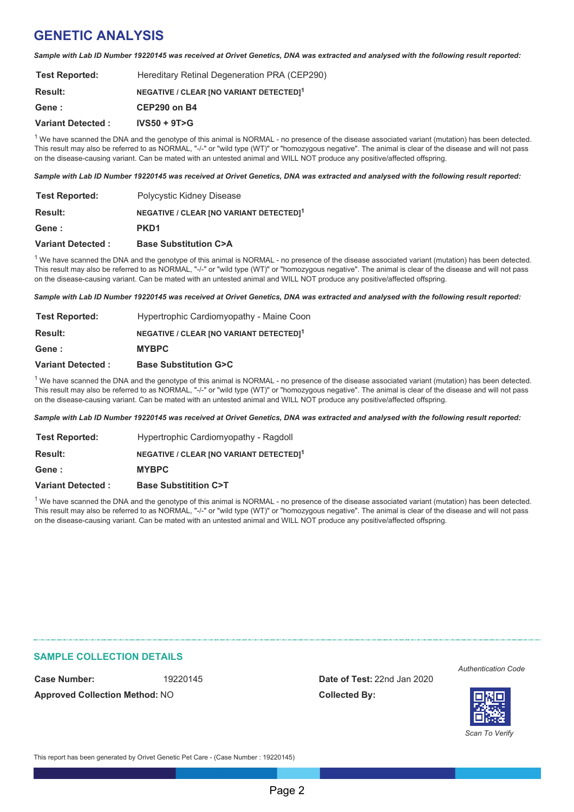# **GENETIC ANALYSIS**

Sample with Lab ID Number 19220145 was received at Orivet Genetics, DNA was extracted and analysed with the following result reported:

| <b>Test Reported:</b>    | Hereditary Retinal Degeneration PRA (CEP290)        |
|--------------------------|-----------------------------------------------------|
| <b>Result:</b>           | NEGATIVE / CLEAR [NO VARIANT DETECTED] <sup>1</sup> |
| Gene:                    | <b>CEP290 on B4</b>                                 |
| <b>Variant Detected:</b> | $IVS50 + 9T > G$                                    |

 $1$  We have scanned the DNA and the genotype of this animal is NORMAL - no presence of the disease associated variant (mutation) has been detected. This result may also be referred to as NORMAL, "-/-" or "wild type (WT)" or "homozygous negative". The animal is clear of the disease and will not pass on the disease-causing variant. Can be mated with an untested animal and WILL NOT produce any positive/affected offspring.

Sample with Lab ID Number 19220145 was received at Orivet Genetics. DNA was extracted and analysed with the following result reported:

| <b>Test Reported:</b>    | Polycystic Kidney Disease                           |
|--------------------------|-----------------------------------------------------|
| <b>Result:</b>           | NEGATIVE / CLEAR [NO VARIANT DETECTED] <sup>1</sup> |
| Gene :                   | PKD <sub>1</sub>                                    |
| <b>Variant Detected:</b> | <b>Base Substitution C&gt;A</b>                     |

 $1$  We have scanned the DNA and the genotype of this animal is NORMAL - no presence of the disease associated variant (mutation) has been detected. This result may also be referred to as NORMAL, "-/-" or "wild type (WT)" or "homozygous negative". The animal is clear of the disease and will not pass on the disease-causing variant. Can be mated with an untested animal and WILL NOT produce any positive/affected offspring.

Sample with Lab ID Number 19220145 was received at Orivet Genetics, DNA was extracted and analysed with the following result reported:

| <b>Test Reported:</b>    | Hypertrophic Cardiomyopathy - Maine Coon            |
|--------------------------|-----------------------------------------------------|
| <b>Result:</b>           | NEGATIVE / CLEAR [NO VARIANT DETECTED] <sup>1</sup> |
| Gene:                    | <b>MYBPC</b>                                        |
| <b>Variant Detected:</b> | <b>Base Substitution G&gt;C</b>                     |

 $1$  We have scanned the DNA and the genotype of this animal is NORMAL - no presence of the disease associated variant (mutation) has been detected. This result may also be referred to as NORMAL, "-/-" or "wild type (WT)" or "homozygous negative". The animal is clear of the disease and will not pass on the disease-causing variant. Can be mated with an untested animal and WILL NOT produce any positive/affected offspring.

Sample with Lab ID Number 19220145 was received at Orivet Genetics, DNA was extracted and analysed with the following result reported:

| <b>Test Reported:</b>    | Hypertrophic Cardiomyopathy - Ragdoll               |
|--------------------------|-----------------------------------------------------|
| <b>Result:</b>           | NEGATIVE / CLEAR [NO VARIANT DETECTED] <sup>1</sup> |
| Gene:                    | <b>MYBPC</b>                                        |
| <b>Variant Detected:</b> | <b>Base Substitition C&gt;T</b>                     |

 $1$  We have scanned the DNA and the genotype of this animal is NORMAL - no presence of the disease associated variant (mutation) has been detected. This result may also be referred to as NORMAL, "-/-" or "wild type (WT)" or "homozygous negative". The animal is clear of the disease and will not pass on the disease-causing variant. Can be mated with an untested animal and WILL NOT produce any positive/affected offspring.

# **SAMPLE COLLECTION DETAILS**

**Case Number:** 19220145 **Date of Test:** 22nd Jan 2020 **Approved Collection Method:** NO **Collected By:** Collected By:

*Authentication Code*



*Scan To Verify*

This report has been generated by Orivet Genetic Pet Care - (Case Number : 19220145)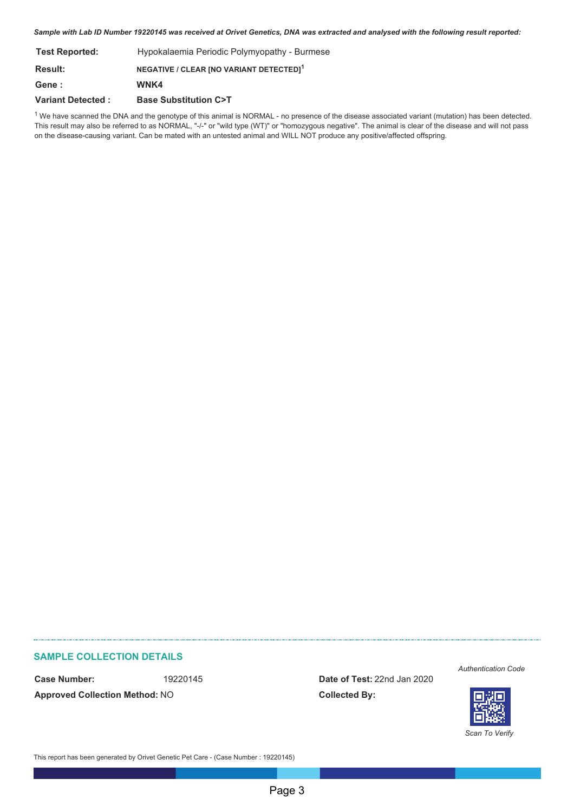Sample with Lab ID Number 19220145 was received at Orivet Genetics, DNA was extracted and analysed with the following result reported:

| <b>Test Reported:</b>    | Hypokalaemia Periodic Polymyopathy - Burmese        |
|--------------------------|-----------------------------------------------------|
| <b>Result:</b>           | NEGATIVE / CLEAR [NO VARIANT DETECTED] <sup>1</sup> |
| Gene:                    | WNK4                                                |
| <b>Variant Detected:</b> | <b>Base Substitution C&gt;T</b>                     |

<sup>1</sup> We have scanned the DNA and the genotype of this animal is NORMAL - no presence of the disease associated variant (mutation) has been detected. This result may also be referred to as NORMAL, "-/-" or "wild type (WT)" or "homozygous negative". The animal is clear of the disease and will not pass on the disease-causing variant. Can be mated with an untested animal and WILL NOT produce any positive/affected offspring.

# **SAMPLE COLLECTION DETAILS**

**Case Number:** 19220145 **Date of Test:** 22nd Jan 2020 **Approved Collection Method:** NO **Collected** By:

*Authentication Code*



This report has been generated by Orivet Genetic Pet Care - (Case Number : 19220145)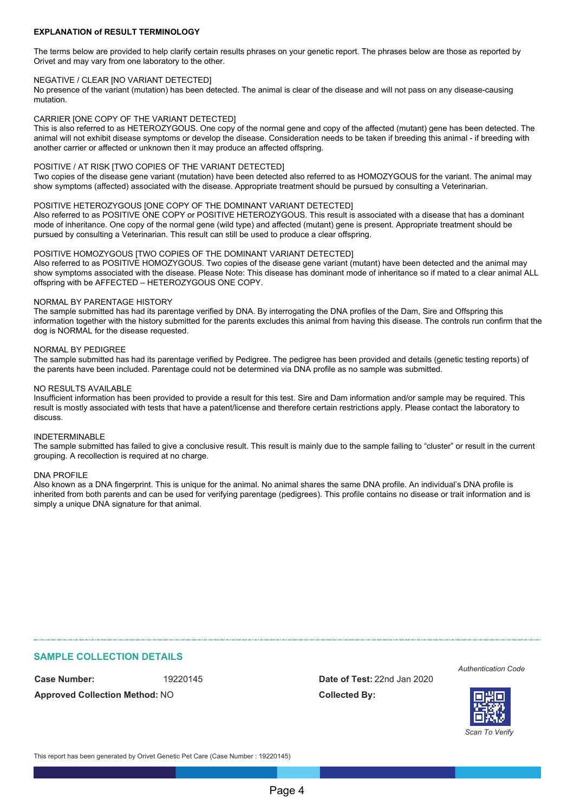### **EXPLANATION of RESULT TERMINOLOGY**

The terms below are provided to help clarify certain results phrases on your genetic report. The phrases below are those as reported by Orivet and may vary from one laboratory to the other.

## NEGATIVE / CLEAR [NO VARIANT DETECTED]

No presence of the variant (mutation) has been detected. The animal is clear of the disease and will not pass on any disease-causing mutation.

### CARRIER [ONE COPY OF THE VARIANT DETECTED]

This is also referred to as HETEROZYGOUS. One copy of the normal gene and copy of the affected (mutant) gene has been detected. The animal will not exhibit disease symptoms or develop the disease. Consideration needs to be taken if breeding this animal - if breeding with another carrier or affected or unknown then it may produce an affected offspring.

#### POSITIVE / AT RISK [TWO COPIES OF THE VARIANT DETECTED]

Two copies of the disease gene variant (mutation) have been detected also referred to as HOMOZYGOUS for the variant. The animal may show symptoms (affected) associated with the disease. Appropriate treatment should be pursued by consulting a Veterinarian.

#### POSITIVE HETEROZYGOUS [ONE COPY OF THE DOMINANT VARIANT DETECTED]

Also referred to as POSITIVE ONE COPY or POSITIVE HETEROZYGOUS. This result is associated with a disease that has a dominant mode of inheritance. One copy of the normal gene (wild type) and affected (mutant) gene is present. Appropriate treatment should be pursued by consulting a Veterinarian. This result can still be used to produce a clear offspring.

### POSITIVE HOMOZYGOUS [TWO COPIES OF THE DOMINANT VARIANT DETECTED]

Also referred to as POSITIVE HOMOZYGOUS. Two copies of the disease gene variant (mutant) have been detected and the animal may show symptoms associated with the disease. Please Note: This disease has dominant mode of inheritance so if mated to a clear animal ALL offspring with be AFFECTED – HETEROZYGOUS ONE COPY.

#### NORMAL BY PARENTAGE HISTORY

The sample submitted has had its parentage verified by DNA. By interrogating the DNA profiles of the Dam, Sire and Offspring this information together with the history submitted for the parents excludes this animal from having this disease. The controls run confirm that the dog is NORMAL for the disease requested.

#### NORMAL BY PEDIGREE

The sample submitted has had its parentage verified by Pedigree. The pedigree has been provided and details (genetic testing reports) of the parents have been included. Parentage could not be determined via DNA profile as no sample was submitted.

### NO RESULTS AVAILABLE

Insufficient information has been provided to provide a result for this test. Sire and Dam information and/or sample may be required. This result is mostly associated with tests that have a patent/license and therefore certain restrictions apply. Please contact the laboratory to discuss.

#### INDETERMINABLE

The sample submitted has failed to give a conclusive result. This result is mainly due to the sample failing to "cluster" or result in the current grouping. A recollection is required at no charge.

#### DNA PROFILE

Also known as a DNA fingerprint. This is unique for the animal. No animal shares the same DNA profile. An individual's DNA profile is inherited from both parents and can be used for verifying parentage (pedigrees). This profile contains no disease or trait information and is simply a unique DNA signature for that animal.

## **SAMPLE COLLECTION DETAILS**

**Case Number:** 19220145 **Date of Test:** 22nd Jan 2020 **Approved Collection Method:** NO **Collected By:**

*Authentication Code*



This report has been generated by Orivet Genetic Pet Care (Case Number : 19220145)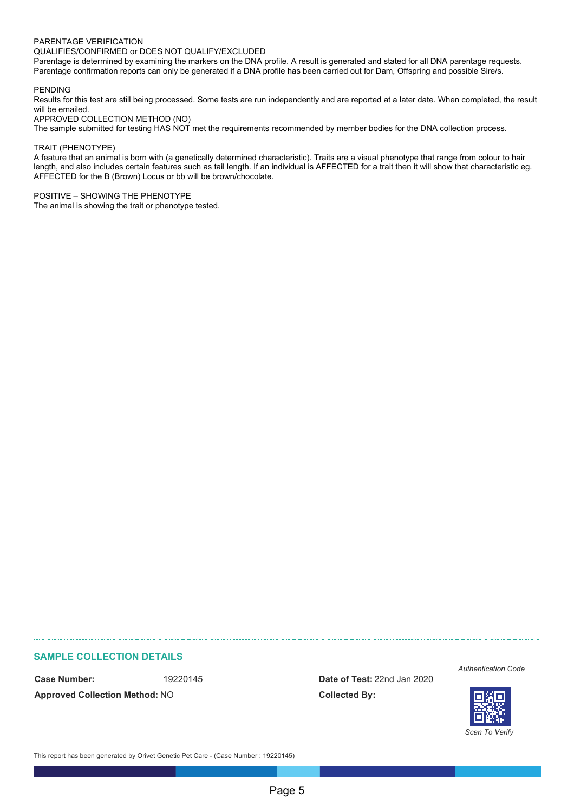### PARENTAGE VERIFICATION

QUALIFIES/CONFIRMED or DOES NOT QUALIFY/EXCLUDED

Parentage is determined by examining the markers on the DNA profile. A result is generated and stated for all DNA parentage requests. Parentage confirmation reports can only be generated if a DNA profile has been carried out for Dam, Offspring and possible Sire/s.

PENDING

Results for this test are still being processed. Some tests are run independently and are reported at a later date. When completed, the result will be emailed.

APPROVED COLLECTION METHOD (NO)

The sample submitted for testing HAS NOT met the requirements recommended by member bodies for the DNA collection process.

TRAIT (PHENOTYPE)

A feature that an animal is born with (a genetically determined characteristic). Traits are a visual phenotype that range from colour to hair length, and also includes certain features such as tail length. If an individual is AFFECTED for a trait then it will show that characteristic eg. AFFECTED for the B (Brown) Locus or bb will be brown/chocolate.

POSITIVE – SHOWING THE PHENOTYPE

The animal is showing the trait or phenotype tested.

## **SAMPLE COLLECTION DETAILS**

**Case Number:** 19220145 **Date of Test:** 22nd Jan 2020 **Approved Collection Method:** NO **Collected By:** Collected By:

*Authentication Code*



This report has been generated by Orivet Genetic Pet Care - (Case Number : 19220145)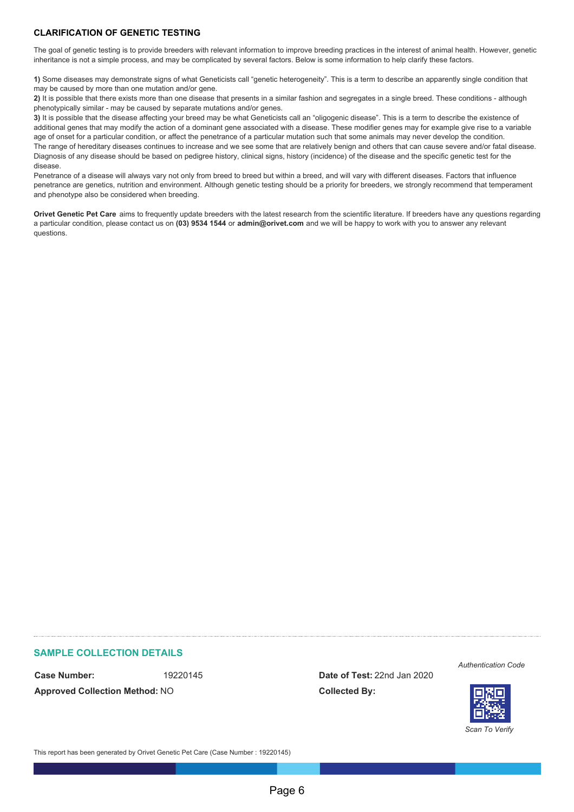## **CLARIFICATION OF GENETIC TESTING**

The goal of genetic testing is to provide breeders with relevant information to improve breeding practices in the interest of animal health. However, genetic inheritance is not a simple process, and may be complicated by several factors. Below is some information to help clarify these factors.

**1)** Some diseases may demonstrate signs of what Geneticists call "genetic heterogeneity". This is a term to describe an apparently single condition that may be caused by more than one mutation and/or gene.

**2)** It is possible that there exists more than one disease that presents in a similar fashion and segregates in a single breed. These conditions - although phenotypically similar - may be caused by separate mutations and/or genes.

**3)** It is possible that the disease affecting your breed may be what Geneticists call an "oligogenic disease". This is a term to describe the existence of additional genes that may modify the action of a dominant gene associated with a disease. These modifier genes may for example give rise to a variable age of onset for a particular condition, or affect the penetrance of a particular mutation such that some animals may never develop the condition. The range of hereditary diseases continues to increase and we see some that are relatively benign and others that can cause severe and/or fatal disease. Diagnosis of any disease should be based on pedigree history, clinical signs, history (incidence) of the disease and the specific genetic test for the disease.

Penetrance of a disease will always vary not only from breed to breed but within a breed, and will vary with different diseases. Factors that influence penetrance are genetics, nutrition and environment. Although genetic testing should be a priority for breeders, we strongly recommend that temperament and phenotype also be considered when breeding.

**Orivet Genetic Pet Care** aims to frequently update breeders with the latest research from the scientific literature. If breeders have any questions regarding a particular condition, please contact us on **(03) 9534 1544** or **admin@orivet.com** and we will be happy to work with you to answer any relevant questions.

# **SAMPLE COLLECTION DETAILS**

**Case Number:** 19220145 **Date of Test:** 22nd Jan 2020 **Approved Collection Method:** NO **Collected** By:

*Authentication Code*



*Scan To Verify*

This report has been generated by Orivet Genetic Pet Care (Case Number : 19220145)